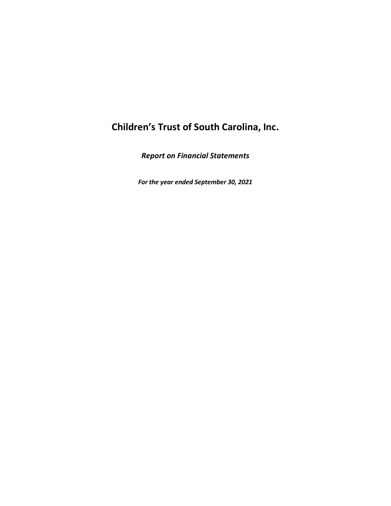# **Children's Trust of South Carolina, Inc.**

*Report on Financial Statements*

*For the year ended September 30, 2021*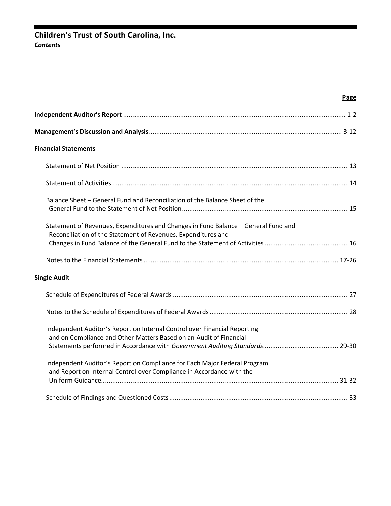# **Children's Trust of South Carolina, Inc.** *Contents*

|                                                                                                                                                     | <b>Page</b> |
|-----------------------------------------------------------------------------------------------------------------------------------------------------|-------------|
|                                                                                                                                                     |             |
|                                                                                                                                                     |             |
| <b>Financial Statements</b>                                                                                                                         |             |
|                                                                                                                                                     |             |
|                                                                                                                                                     |             |
| Balance Sheet - General Fund and Reconciliation of the Balance Sheet of the                                                                         |             |
| Statement of Revenues, Expenditures and Changes in Fund Balance - General Fund and<br>Reconciliation of the Statement of Revenues, Expenditures and |             |
|                                                                                                                                                     |             |
| <b>Single Audit</b>                                                                                                                                 |             |
|                                                                                                                                                     |             |
|                                                                                                                                                     |             |
| Independent Auditor's Report on Internal Control over Financial Reporting<br>and on Compliance and Other Matters Based on an Audit of Financial     |             |
| Independent Auditor's Report on Compliance for Each Major Federal Program<br>and Report on Internal Control over Compliance in Accordance with the  |             |
|                                                                                                                                                     |             |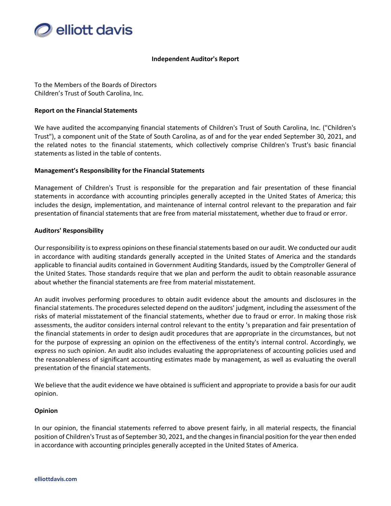

#### **Independent Auditor's Report**

To the Members of the Boards of Directors Children's Trust of South Carolina, Inc.

#### **Report on the Financial Statements**

We have audited the accompanying financial statements of Children's Trust of South Carolina, Inc. ("Children's Trust"), a component unit of the State of South Carolina, as of and for the year ended September 30, 2021, and the related notes to the financial statements, which collectively comprise Children's Trust's basic financial statements as listed in the table of contents.

#### **Management's Responsibility for the Financial Statements**

Management of Children's Trust is responsible for the preparation and fair presentation of these financial statements in accordance with accounting principles generally accepted in the United States of America; this includes the design, implementation, and maintenance of internal control relevant to the preparation and fair presentation of financial statements that are free from material misstatement, whether due to fraud or error.

#### **Auditors' Responsibility**

Our responsibility is to express opinions on these financial statements based on our audit. We conducted our audit in accordance with auditing standards generally accepted in the United States of America and the standards applicable to financial audits contained in Government Auditing Standards, issued by the Comptroller General of the United States. Those standards require that we plan and perform the audit to obtain reasonable assurance about whether the financial statements are free from material misstatement.

An audit involves performing procedures to obtain audit evidence about the amounts and disclosures in the financial statements. The procedures selected depend on the auditors' judgment, including the assessment of the risks of material misstatement of the financial statements, whether due to fraud or error. In making those risk assessments, the auditor considers internal control relevant to the entity 's preparation and fair presentation of the financial statements in order to design audit procedures that are appropriate in the circumstances, but not for the purpose of expressing an opinion on the effectiveness of the entity's internal control. Accordingly, we express no such opinion. An audit also includes evaluating the appropriateness of accounting policies used and the reasonableness of significant accounting estimates made by management, as well as evaluating the overall presentation of the financial statements.

We believe that the audit evidence we have obtained is sufficient and appropriate to provide a basis for our audit opinion.

#### **Opinion**

In our opinion, the financial statements referred to above present fairly, in all material respects, the financial position of Children's Trust as of September 30, 2021, and the changes in financial position for the year then ended in accordance with accounting principles generally accepted in the United States of America.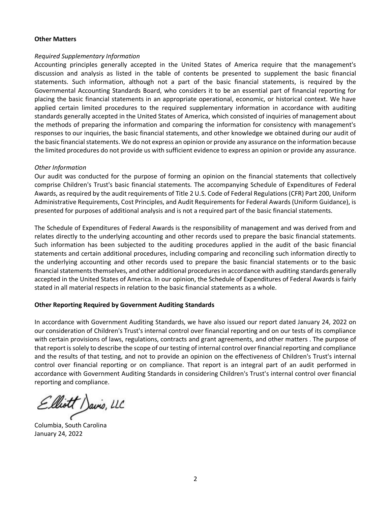### **Other Matters**

#### *Required Supplementary Information*

Accounting principles generally accepted in the United States of America require that the management's discussion and analysis as listed in the table of contents be presented to supplement the basic financial statements. Such information, although not a part of the basic financial statements, is required by the Governmental Accounting Standards Board, who considers it to be an essential part of financial reporting for placing the basic financial statements in an appropriate operational, economic, or historical context. We have applied certain limited procedures to the required supplementary information in accordance with auditing standards generally accepted in the United States of America, which consisted of inquiries of management about the methods of preparing the information and comparing the information for consistency with management's responses to our inquiries, the basic financial statements, and other knowledge we obtained during our audit of the basic financial statements. We do not express an opinion or provide any assurance on the information because the limited procedures do not provide us with sufficient evidence to express an opinion or provide any assurance.

#### *Other Information*

Our audit was conducted for the purpose of forming an opinion on the financial statements that collectively comprise Children's Trust's basic financial statements. The accompanying Schedule of Expenditures of Federal Awards, as required by the audit requirements of Title 2 U.S. Code of Federal Regulations (CFR) Part 200, Uniform Administrative Requirements, Cost Principles, and Audit Requirements for Federal Awards (Uniform Guidance), is presented for purposes of additional analysis and is not a required part of the basic financial statements.

The Schedule of Expenditures of Federal Awards is the responsibility of management and was derived from and relates directly to the underlying accounting and other records used to prepare the basic financial statements. Such information has been subjected to the auditing procedures applied in the audit of the basic financial statements and certain additional procedures, including comparing and reconciling such information directly to the underlying accounting and other records used to prepare the basic financial statements or to the basic financial statements themselves, and other additional procedures in accordance with auditing standards generally accepted in the United States of America. In our opinion, the Schedule of Expenditures of Federal Awards is fairly stated in all material respects in relation to the basic financial statements as a whole.

#### **Other Reporting Required by Government Auditing Standards**

In accordance with Government Auditing Standards, we have also issued our report dated January 24, 2022 on our consideration of Children's Trust's internal control over financial reporting and on our tests of its compliance with certain provisions of laws, regulations, contracts and grant agreements, and other matters . The purpose of that report is solely to describe the scope of our testing of internal control over financial reporting and compliance and the results of that testing, and not to provide an opinion on the effectiveness of Children's Trust's internal control over financial reporting or on compliance. That report is an integral part of an audit performed in accordance with Government Auditing Standards in considering Children's Trust's internal control over financial reporting and compliance.

Elliott Davis, LLC

Columbia, South Carolina January 24, 2022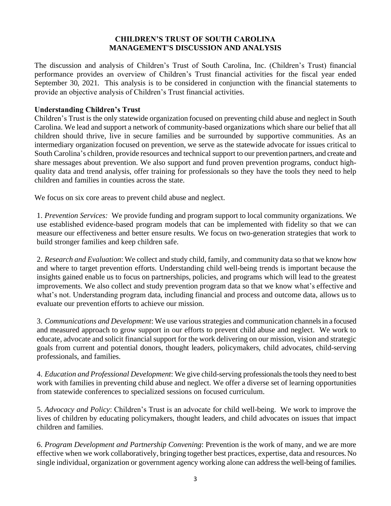# **CHILDREN'S TRUST OF SOUTH CAROLINA MANAGEMENT'S DISCUSSION AND ANALYSIS**

The discussion and analysis of Children's Trust of South Carolina, Inc. (Children's Trust) financial performance provides an overview of Children's Trust financial activities for the fiscal year ended September 30, 2021. This analysis is to be considered in conjunction with the financial statements to provide an objective analysis of Children's Trust financial activities.

# **Understanding Children's Trust**

Children's Trust is the only statewide organization focused on preventing child abuse and neglect in South Carolina. We lead and support a network of community-based organizations which share our belief that all children should thrive, live in secure families and be surrounded by supportive communities. As an intermediary organization focused on prevention, we serve as the statewide advocate for issues critical to South Carolina's children, provide resources and technical support to our prevention partners, and create and share messages about prevention. We also support and fund proven prevention programs, conduct highquality data and trend analysis, offer training for professionals so they have the tools they need to help children and families in counties across the state.

We focus on six core areas to prevent child abuse and neglect.

1. *Prevention Services:* We provide funding and program support to local community organizations. We use established evidence-based program models that can be implemented with fidelity so that we can measure our effectiveness and better ensure results. We focus on two-generation strategies that work to build stronger families and keep children safe.

2. *Research and Evaluation*: We collect and study child, family, and community data so that we know how and where to target prevention efforts. Understanding child well-being trends is important because the insights gained enable us to focus on partnerships, policies, and programs which will lead to the greatest improvements. We also collect and study prevention program data so that we know what's effective and what's not. Understanding program data, including financial and process and outcome data, allows us to evaluate our prevention efforts to achieve our mission.

3. *Communications and Development*: We use various strategies and communication channels in a focused and measured approach to grow support in our efforts to prevent child abuse and neglect. We work to educate, advocate and solicit financial support for the work delivering on our mission, vision and strategic goals from current and potential donors, thought leaders, policymakers, child advocates, child-serving professionals, and families.

4. *Education and Professional Development*: We give child-serving professionals the tools they need to best work with families in preventing child abuse and neglect. We offer a diverse set of learning opportunities from statewide conferences to specialized sessions on focused curriculum.

5. *Advocacy and Policy*: Children's Trust is an advocate for child well-being. We work to improve the lives of children by educating policymakers, thought leaders, and child advocates on issues that impact children and families.

6. *Program Development and Partnership Convening*: Prevention is the work of many, and we are more effective when we work collaboratively, bringing together best practices, expertise, data and resources. No single individual, organization or government agency working alone can address the well-being of families.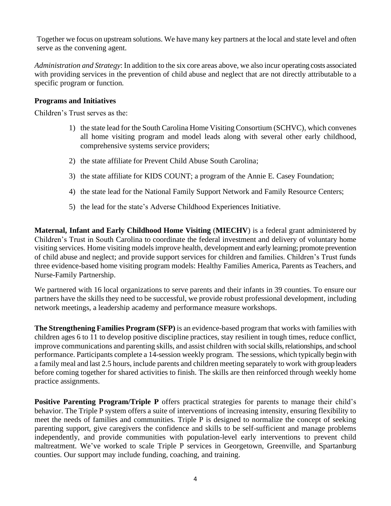Together we focus on upstream solutions. We have many key partners at the local and state level and often serve as the convening agent.

*Administration and Strategy*: In addition to the six core areas above, we also incur operating costs associated with providing services in the prevention of child abuse and neglect that are not directly attributable to a specific program or function.

# **Programs and Initiatives**

Children's Trust serves as the:

- 1) the state lead for the South Carolina Home Visiting Consortium (SCHVC), which convenes all home visiting program and model leads along with several other early childhood, comprehensive systems service providers;
- 2) the state affiliate for Prevent Child Abuse South Carolina;
- 3) the state affiliate for KIDS COUNT; a program of the Annie E. Casey Foundation;
- 4) the state lead for the National Family Support Network and Family Resource Centers;
- 5) the lead for the state's Adverse Childhood Experiences Initiative.

**Maternal, Infant and Early Childhood Home Visiting** (**MIECHV**) is a federal grant administered by Children's Trust in South Carolina to coordinate the federal investment and delivery of voluntary home visiting services. Home visiting models improve health, development and early learning; promote prevention of child abuse and neglect; and provide support services for children and families. Children's Trust funds three evidence-based home visiting program models: Healthy Families America, Parents as Teachers, and Nurse-Family Partnership.

We partnered with 16 local organizations to serve parents and their infants in 39 counties. To ensure our partners have the skills they need to be successful, we provide robust professional development, including network meetings, a leadership academy and performance measure workshops.

**The Strengthening Families Program (SFP)** is an evidence-based program that works with families with children ages 6 to 11 to develop positive discipline practices, stay resilient in tough times, reduce conflict, improve communications and parenting skills, and assist children with social skills, relationships, and school performance. Participants complete a 14-session weekly program. The sessions, which typically begin with a family meal and last 2.5 hours, include parents and children meeting separately to work with group leaders before coming together for shared activities to finish. The skills are then reinforced through weekly home practice assignments.

**Positive Parenting Program/Triple P** offers practical strategies for parents to manage their child's behavior. The Triple P system offers a suite of interventions of increasing intensity, ensuring flexibility to meet the needs of families and communities. Triple P is designed to normalize the concept of seeking parenting support, give caregivers the confidence and skills to be self-sufficient and manage problems independently, and provide communities with population-level early interventions to prevent child maltreatment. We've worked to scale Triple P services in Georgetown, Greenville, and Spartanburg counties. Our support may include funding, coaching, and training.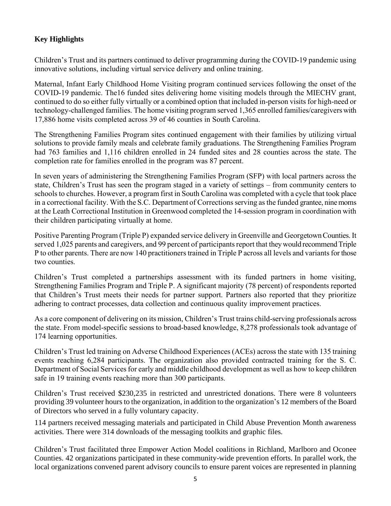# **Key Highlights**

Children's Trust and its partners continued to deliver programming during the COVID-19 pandemic using innovative solutions, including virtual service delivery and online training.

Maternal, Infant Early Childhood Home Visiting program continued services following the onset of the COVID-19 pandemic. The16 funded sites delivering home visiting models through the MIECHV grant, continued to do so either fully virtually or a combined option that included in-person visits for high-need or technology-challenged families. The home visiting program served 1,365 enrolled families/caregivers with 17,886 home visits completed across 39 of 46 counties in South Carolina.

The Strengthening Families Program sites continued engagement with their families by utilizing virtual solutions to provide family meals and celebrate family graduations. The Strengthening Families Program had 763 families and 1,116 children enrolled in 24 funded sites and 28 counties across the state. The completion rate for families enrolled in the program was 87 percent.

In seven years of administering the Strengthening Families Program (SFP) with local partners across the state, Children's Trust has seen the program staged in a variety of settings – from community centers to schools to churches. However, a program first in South Carolina was completed with a cycle that took place in a correctional facility. With the S.C. Department of Corrections serving as the funded grantee, nine moms at the Leath Correctional Institution in Greenwood completed the 14-session program in coordination with their children participating virtually at home.

Positive Parenting Program (Triple P) expanded service delivery in Greenville and Georgetown Counties. It served 1,025 parents and caregivers, and 99 percent of participants report that they would recommend Triple P to other parents. There are now 140 practitioners trained in Triple P across all levels and variants for those two counties.

Children's Trust completed a partnerships assessment with its funded partners in home visiting, Strengthening Families Program and Triple P. A significant majority (78 percent) of respondents reported that Children's Trust meets their needs for partner support. Partners also reported that they prioritize adhering to contract processes, data collection and continuous quality improvement practices.

As a core component of delivering on its mission, Children's Trust trains child-serving professionals across the state. From model-specific sessions to broad-based knowledge, 8,278 professionals took advantage of 174 learning opportunities.

Children's Trust led training on Adverse Childhood Experiences (ACEs) across the state with 135 training events reaching 6,284 participants. The organization also provided contracted training for the S. C. Department of Social Services for early and middle childhood development as well as how to keep children safe in 19 training events reaching more than 300 participants.

Children's Trust received \$230,235 in restricted and unrestricted donations. There were 8 volunteers providing 39 volunteer hours to the organization, in addition to the organization's 12 members of the Board of Directors who served in a fully voluntary capacity.

114 partners received messaging materials and participated in Child Abuse Prevention Month awareness activities. There were 314 downloads of the messaging toolkits and graphic files.

Children's Trust facilitated three Empower Action Model coalitions in Richland, Marlboro and Oconee Counties. 42 organizations participated in these community-wide prevention efforts. In parallel work, the local organizations convened parent advisory councils to ensure parent voices are represented in planning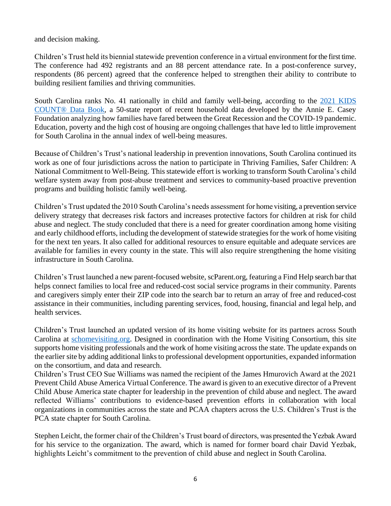and decision making.

Children's Trust held its biennial statewide prevention conference in a virtual environment for the first time. The conference had 492 registrants and an 88 percent attendance rate. In a post-conference survey, respondents (86 percent) agreed that the conference helped to strengthen their ability to contribute to building resilient families and thriving communities.

South Carolina ranks No. 41 nationally in child and family well-being, according to the [2021 KIDS](https://www.aecf.org/resources/2021-kids-count-data-book)  [COUNT® Data Book,](https://www.aecf.org/resources/2021-kids-count-data-book) a 50-state report of recent household data developed by the Annie E. Casey Foundation analyzing how families have fared between the Great Recession and the COVID-19 pandemic. Education, poverty and the high cost of housing are ongoing challenges that have led to little improvement for South Carolina in the annual index of well-being measures.

Because of Children's Trust's national leadership in prevention innovations, South Carolina continued its work as one of four jurisdictions across the nation to participate in Thriving Families, Safer Children: A National Commitment to Well-Being. This statewide effort is working to transform South Carolina's child welfare system away from post-abuse treatment and services to community-based proactive prevention programs and building holistic family well-being.

Children's Trust updated the 2010 South Carolina's needs assessment for home visiting, a prevention service delivery strategy that decreases risk factors and increases protective factors for children at risk for child abuse and neglect. The study concluded that there is a need for greater coordination among home visiting and early childhood efforts, including the development of statewide strategies for the work of home visiting for the next ten years. It also called for additional resources to ensure equitable and adequate services are available for families in every county in the state. This will also require strengthening the home visiting infrastructure in South Carolina.

Children's Trust launched a new parent-focused website, scParent.org, featuring a Find Help search bar that helps connect families to local free and reduced-cost social service programs in their community. Parents and caregivers simply enter their ZIP code into the search bar to return an array of free and reduced-cost assistance in their communities, including parenting services, food, housing, financial and legal help, and health services.

Children's Trust launched an updated version of its home visiting website for its partners across South Carolina at [schomevisiting.org.](https://www.schomevisiting.org/) Designed in coordination with the Home Visiting Consortium, this site supports home visiting professionals and the work of home visiting across the state. The update expands on the earlier site by adding additional links to professional development opportunities, expanded information on the consortium, and data and research.

Children's Trust CEO Sue Williams was named the recipient of the James Hmurovich Award at the 2021 Prevent Child Abuse America Virtual Conference. The award is given to an executive director of a Prevent Child Abuse America state chapter for leadership in the prevention of child abuse and neglect. The award reflected Williams' contributions to evidence-based prevention efforts in collaboration with local organizations in communities across the state and PCAA chapters across the U.S. Children's Trust is the PCA state chapter for South Carolina.

Stephen Leicht, the former chair of the Children's Trust board of directors, was presented the Yezbak Award for his service to the organization. The award, which is named for former board chair David Yezbak, highlights Leicht's commitment to the prevention of child abuse and neglect in South Carolina.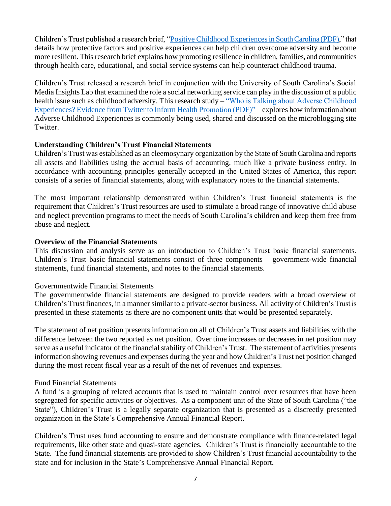Children's Trust published a research brief, ["Positive Childhood Experiences in South Carolina \(PDF\),](https://scchildren.org/wp-content/uploads/PCEs-in-South-Carolina.pdf)" that details how protective factors and positive experiences can help children overcome adversity and become more resilient. This research brief explains how promoting resilience in children, families, and communities through health care, educational, and social service systems can help counteract childhood trauma.

Children's Trust released a research brief in conjunction with the University of South Carolina's Social Media Insights Lab that examined the role a social networking service can play in the discussion of a public health issue such as childhood adversity. This research study – "Who is Talking about Adverse Childhood [Experiences? Evidence from Twitter to Inform Health Promotion \(PDF\)"](https://scchildren.org/wp-content/uploads/ACEs_Research_Brief_Twitter_and_Health_Promotion.pdf) – explores how information about Adverse Childhood Experiences is commonly being used, shared and discussed on the microblogging site Twitter.

# **Understanding Children's Trust Financial Statements**

Children's Trust was established as an eleemosynary organization by the State of South Carolina and reports all assets and liabilities using the accrual basis of accounting, much like a private business entity. In accordance with accounting principles generally accepted in the United States of America, this report consists of a series of financial statements, along with explanatory notes to the financial statements.

The most important relationship demonstrated within Children's Trust financial statements is the requirement that Children's Trust resources are used to stimulate a broad range of innovative child abuse and neglect prevention programs to meet the needs of South Carolina's children and keep them free from abuse and neglect.

# **Overview of the Financial Statements**

This discussion and analysis serve as an introduction to Children's Trust basic financial statements. Children's Trust basic financial statements consist of three components – government-wide financial statements, fund financial statements, and notes to the financial statements.

# Governmentwide Financial Statements

The governmentwide financial statements are designed to provide readers with a broad overview of Children's Trust finances, in a manner similar to a private-sector business. All activity of Children's Trust is presented in these statements as there are no component units that would be presented separately.

The statement of net position presents information on all of Children's Trust assets and liabilities with the difference between the two reported as net position. Over time increases or decreases in net position may serve as a useful indicator of the financial stability of Children's Trust. The statement of activities presents information showing revenues and expenses during the year and how Children's Trust net position changed during the most recent fiscal year as a result of the net of revenues and expenses.

# Fund Financial Statements

A fund is a grouping of related accounts that is used to maintain control over resources that have been segregated for specific activities or objectives. As a component unit of the State of South Carolina ("the State"), Children's Trust is a legally separate organization that is presented as a discreetly presented organization in the State's Comprehensive Annual Financial Report.

Children's Trust uses fund accounting to ensure and demonstrate compliance with finance-related legal requirements, like other state and quasi-state agencies. Children's Trust is financially accountable to the State. The fund financial statements are provided to show Children's Trust financial accountability to the state and for inclusion in the State's Comprehensive Annual Financial Report.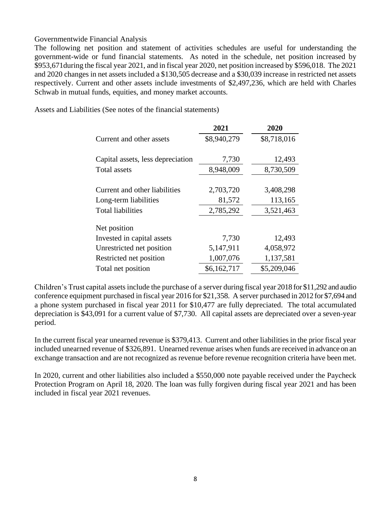# Governmentwide Financial Analysis

The following net position and statement of activities schedules are useful for understanding the government-wide or fund financial statements. As noted in the schedule, net position increased by \$953,671during the fiscal year 2021, and in fiscal year 2020, net position increased by \$596,018. The 2021 and 2020 changes in net assets included a \$130,505 decrease and a \$30,039 increase in restricted net assets respectively. Current and other assets include investments of \$2,497,236, which are held with Charles Schwab in mutual funds, equities, and money market accounts.

Assets and Liabilities (See notes of the financial statements)

|                                   | 2021        | 2020        |
|-----------------------------------|-------------|-------------|
| Current and other assets          | \$8,940,279 | \$8,718,016 |
| Capital assets, less depreciation | 7,730       | 12,493      |
| <b>Total assets</b>               | 8,948,009   | 8,730,509   |
|                                   |             |             |
| Current and other liabilities     | 2,703,720   | 3,408,298   |
| Long-term liabilities             | 81,572      | 113,165     |
| <b>Total liabilities</b>          | 2,785,292   | 3,521,463   |
| Net position                      |             |             |
| Invested in capital assets        | 7,730       | 12,493      |
| Unrestricted net position         | 5,147,911   | 4,058,972   |
| Restricted net position           | 1,007,076   | 1,137,581   |
| Total net position                | \$6,162,717 | \$5,209,046 |

Children's Trust capital assets include the purchase of a server during fiscal year 2018 for \$11,292 and audio conference equipment purchased in fiscal year 2016 for \$21,358. A server purchased in 2012 for \$7,694 and a phone system purchased in fiscal year 2011 for \$10,477 are fully depreciated. The total accumulated depreciation is \$43,091 for a current value of \$7,730. All capital assets are depreciated over a seven-year period.

In the current fiscal year unearned revenue is \$379,413. Current and other liabilities in the prior fiscal year included unearned revenue of \$326,891. Unearned revenue arises when funds are received in advance on an exchange transaction and are not recognized as revenue before revenue recognition criteria have been met.

In 2020, current and other liabilities also included a \$550,000 note payable received under the Paycheck Protection Program on April 18, 2020. The loan was fully forgiven during fiscal year 2021 and has been included in fiscal year 2021 revenues.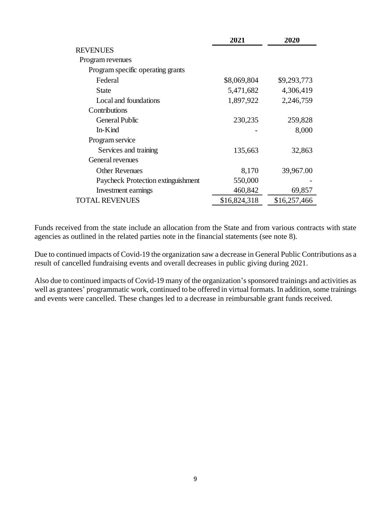|                                    | 2021         | 2020         |
|------------------------------------|--------------|--------------|
| <b>REVENUES</b>                    |              |              |
| Program revenues                   |              |              |
| Program specific operating grants  |              |              |
| Federal                            | \$8,069,804  | \$9,293,773  |
| <b>State</b>                       | 5,471,682    | 4,306,419    |
| Local and foundations              | 1,897,922    | 2,246,759    |
| Contributions                      |              |              |
| <b>General Public</b>              | 230,235      | 259,828      |
| $In-Kind$                          |              | 8,000        |
| Program service                    |              |              |
| Services and training              | 135,663      | 32,863       |
| General revenues                   |              |              |
| <b>Other Revenues</b>              | 8,170        | 39,967.00    |
| Paycheck Protection extinguishment | 550,000      |              |
| Investment earnings                | 460,842      | 69,857       |
| <b>TOTAL REVENUES</b>              | \$16,824,318 | \$16,257,466 |
|                                    |              |              |

Funds received from the state include an allocation from the State and from various contracts with state agencies as outlined in the related parties note in the financial statements (see note 8).

Due to continued impacts of Covid-19 the organization saw a decrease in General Public Contributions as a result of cancelled fundraising events and overall decreases in public giving during 2021.

Also due to continued impacts of Covid-19 many of the organization's sponsored trainings and activities as well as grantees' programmatic work, continued to be offered in virtual formats. In addition, some trainings and events were cancelled. These changes led to a decrease in reimbursable grant funds received.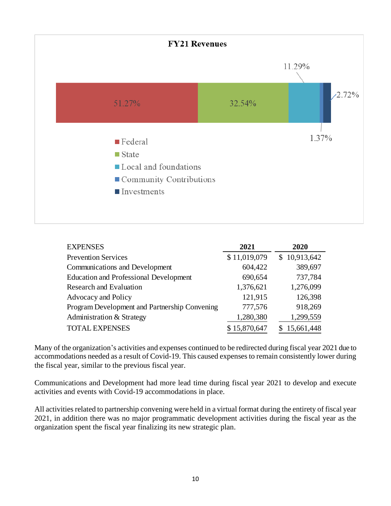

| <b>EXPENSES</b>                               | 2021         | 2020         |
|-----------------------------------------------|--------------|--------------|
| <b>Prevention Services</b>                    | \$11,019,079 | \$10,913,642 |
| <b>Communications and Development</b>         | 604,422      | 389,697      |
| <b>Education and Professional Development</b> | 690,654      | 737,784      |
| <b>Research and Evaluation</b>                | 1,376,621    | 1,276,099    |
| Advocacy and Policy                           | 121,915      | 126,398      |
| Program Development and Partnership Convening | 777,576      | 918,269      |
| Administration & Strategy                     | 1,280,380    | 1,299,559    |
| <b>TOTAL EXPENSES</b>                         | \$15,870,647 | 15,661,448   |

Many of the organization's activities and expenses continued to be redirected during fiscal year 2021 due to accommodations needed as a result of Covid-19. This caused expenses to remain consistently lower during the fiscal year, similar to the previous fiscal year.

Communications and Development had more lead time during fiscal year 2021 to develop and execute activities and events with Covid-19 accommodations in place.

All activities related to partnership convening were held in a virtual format during the entirety of fiscal year 2021, in addition there was no major programmatic development activities during the fiscal year as the organization spent the fiscal year finalizing its new strategic plan.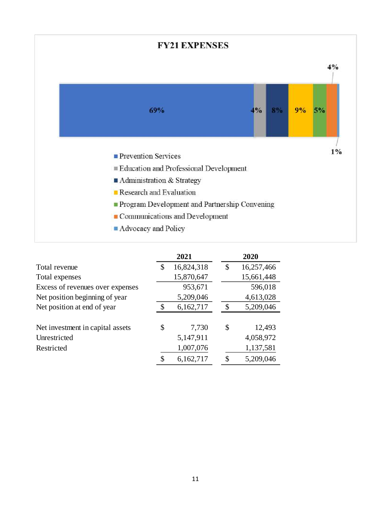

|                                  | 2021             |     | 2020       |
|----------------------------------|------------------|-----|------------|
| Total revenue                    | \$<br>16,824,318 | \$  | 16,257,466 |
| Total expenses                   | 15,870,647       |     | 15,661,448 |
| Excess of revenues over expenses | 953,671          |     | 596,018    |
| Net position beginning of year   | 5,209,046        |     | 4,613,028  |
| Net position at end of year      | \$<br>6,162,717  | \$. | 5,209,046  |
|                                  |                  |     |            |
| Net investment in capital assets | \$<br>7,730      | \$  | 12,493     |
| Unrestricted                     | 5,147,911        |     | 4,058,972  |
| Restricted                       | 1,007,076        |     | 1,137,581  |
|                                  | \$<br>6,162,717  | \$  | 5,209,046  |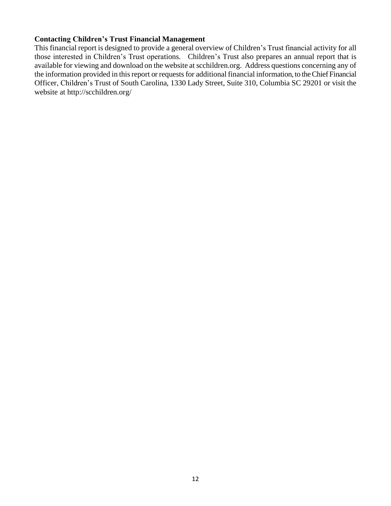# **Contacting Children's Trust Financial Management**

This financial report is designed to provide a general overview of Children's Trust financial activity for all those interested in Children's Trust operations. Children's Trust also prepares an annual report that is available for viewing and download on the website at scchildren.org. Address questions concerning any of the information provided in this report or requests for additional financial information, to the Chief Financial Officer, Children's Trust of South Carolina, 1330 Lady Street, Suite 310, Columbia SC 29201 or visit the website at http://scchildren.org/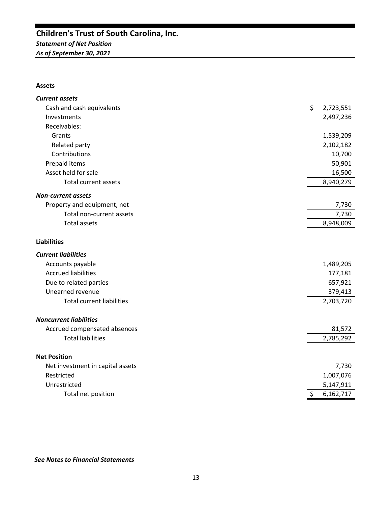# **Assets**

| <b>Current assets</b>            |                 |
|----------------------------------|-----------------|
| Cash and cash equivalents        | \$<br>2,723,551 |
| Investments                      | 2,497,236       |
| Receivables:                     |                 |
| Grants                           | 1,539,209       |
| Related party                    | 2,102,182       |
| Contributions                    | 10,700          |
| Prepaid items                    | 50,901          |
| Asset held for sale              | 16,500          |
| <b>Total current assets</b>      | 8,940,279       |
| <b>Non-current assets</b>        |                 |
| Property and equipment, net      | 7,730           |
| Total non-current assets         | 7,730           |
| <b>Total assets</b>              | 8,948,009       |
| <b>Liabilities</b>               |                 |
| <b>Current liabilities</b>       |                 |
| Accounts payable                 | 1,489,205       |
| <b>Accrued liabilities</b>       | 177,181         |
| Due to related parties           | 657,921         |
| Unearned revenue                 | 379,413         |
| <b>Total current liabilities</b> | 2,703,720       |
| <b>Noncurrent liabilities</b>    |                 |
| Accrued compensated absences     | 81,572          |
| <b>Total liabilities</b>         | 2,785,292       |
| <b>Net Position</b>              |                 |
| Net investment in capital assets | 7,730           |
| Restricted                       | 1,007,076       |
| Unrestricted                     | 5,147,911       |
| Total net position               | \$<br>6,162,717 |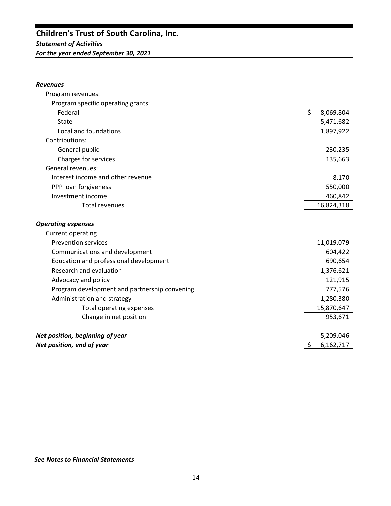| <b>Revenues</b>                                       |                 |
|-------------------------------------------------------|-----------------|
| Program revenues:                                     |                 |
| Program specific operating grants:                    |                 |
| Federal                                               | \$<br>8,069,804 |
| <b>State</b>                                          | 5,471,682       |
| Local and foundations                                 | 1,897,922       |
| Contributions:                                        |                 |
| General public                                        | 230,235         |
| Charges for services                                  | 135,663         |
| General revenues:                                     |                 |
| Interest income and other revenue                     | 8,170           |
| PPP loan forgiveness                                  | 550,000         |
| Investment income                                     | 460,842         |
| <b>Total revenues</b>                                 | 16,824,318      |
| <b>Operating expenses</b><br><b>Current operating</b> |                 |
| <b>Prevention services</b>                            | 11,019,079      |
| Communications and development                        | 604,422         |
| Education and professional development                | 690,654         |
| Research and evaluation                               | 1,376,621       |
| Advocacy and policy                                   | 121,915         |
| Program development and partnership convening         | 777,576         |
| Administration and strategy                           | 1,280,380       |
| <b>Total operating expenses</b>                       | 15,870,647      |
| Change in net position                                | 953,671         |
|                                                       |                 |
| Net position, beginning of year                       | 5,209,046       |
| Net position, end of year                             | 6,162,717       |

*See Notes to Financial Statements*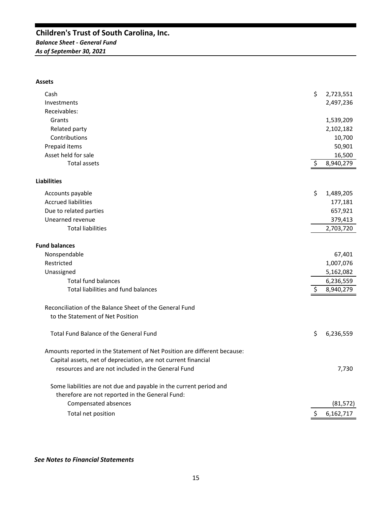# **Assets**

| Receivables:<br>Grants<br>1,539,209<br>Related party<br>2,102,182<br>Contributions<br>10,700<br>Prepaid items<br>50,901<br>Asset held for sale<br>16,500<br><b>Total assets</b><br>8,940,279<br>\$<br>Accounts payable<br>1,489,205<br><b>Accrued liabilities</b><br>177,181<br>Due to related parties<br>657,921<br>Unearned revenue<br>379,413<br><b>Total liabilities</b><br>2,703,720<br>Nonspendable<br>67,401<br>Restricted<br>1,007,076<br>Unassigned<br>5,162,082<br><b>Total fund balances</b><br>6,236,559<br>Total liabilities and fund balances<br>\$<br>8,940,279<br>Reconciliation of the Balance Sheet of the General Fund<br>to the Statement of Net Position<br>Total Fund Balance of the General Fund<br>\$<br>6,236,559<br>Amounts reported in the Statement of Net Position are different because:<br>Capital assets, net of depreciation, are not current financial<br>resources and are not included in the General Fund<br>7,730<br>Some liabilities are not due and payable in the current period and<br>therefore are not reported in the General Fund:<br>Compensated absences<br>(81, 572)<br>Total net position<br>6,162,717<br>\$ | Cash<br>Investments  | \$<br>2,723,551<br>2,497,236 |
|----------------------------------------------------------------------------------------------------------------------------------------------------------------------------------------------------------------------------------------------------------------------------------------------------------------------------------------------------------------------------------------------------------------------------------------------------------------------------------------------------------------------------------------------------------------------------------------------------------------------------------------------------------------------------------------------------------------------------------------------------------------------------------------------------------------------------------------------------------------------------------------------------------------------------------------------------------------------------------------------------------------------------------------------------------------------------------------------------------------------------------------------------------------|----------------------|------------------------------|
|                                                                                                                                                                                                                                                                                                                                                                                                                                                                                                                                                                                                                                                                                                                                                                                                                                                                                                                                                                                                                                                                                                                                                                |                      |                              |
|                                                                                                                                                                                                                                                                                                                                                                                                                                                                                                                                                                                                                                                                                                                                                                                                                                                                                                                                                                                                                                                                                                                                                                |                      |                              |
|                                                                                                                                                                                                                                                                                                                                                                                                                                                                                                                                                                                                                                                                                                                                                                                                                                                                                                                                                                                                                                                                                                                                                                |                      |                              |
|                                                                                                                                                                                                                                                                                                                                                                                                                                                                                                                                                                                                                                                                                                                                                                                                                                                                                                                                                                                                                                                                                                                                                                |                      |                              |
|                                                                                                                                                                                                                                                                                                                                                                                                                                                                                                                                                                                                                                                                                                                                                                                                                                                                                                                                                                                                                                                                                                                                                                |                      |                              |
|                                                                                                                                                                                                                                                                                                                                                                                                                                                                                                                                                                                                                                                                                                                                                                                                                                                                                                                                                                                                                                                                                                                                                                |                      |                              |
|                                                                                                                                                                                                                                                                                                                                                                                                                                                                                                                                                                                                                                                                                                                                                                                                                                                                                                                                                                                                                                                                                                                                                                |                      |                              |
|                                                                                                                                                                                                                                                                                                                                                                                                                                                                                                                                                                                                                                                                                                                                                                                                                                                                                                                                                                                                                                                                                                                                                                | <b>Liabilities</b>   |                              |
|                                                                                                                                                                                                                                                                                                                                                                                                                                                                                                                                                                                                                                                                                                                                                                                                                                                                                                                                                                                                                                                                                                                                                                |                      |                              |
|                                                                                                                                                                                                                                                                                                                                                                                                                                                                                                                                                                                                                                                                                                                                                                                                                                                                                                                                                                                                                                                                                                                                                                |                      |                              |
|                                                                                                                                                                                                                                                                                                                                                                                                                                                                                                                                                                                                                                                                                                                                                                                                                                                                                                                                                                                                                                                                                                                                                                |                      |                              |
|                                                                                                                                                                                                                                                                                                                                                                                                                                                                                                                                                                                                                                                                                                                                                                                                                                                                                                                                                                                                                                                                                                                                                                |                      |                              |
|                                                                                                                                                                                                                                                                                                                                                                                                                                                                                                                                                                                                                                                                                                                                                                                                                                                                                                                                                                                                                                                                                                                                                                |                      |                              |
|                                                                                                                                                                                                                                                                                                                                                                                                                                                                                                                                                                                                                                                                                                                                                                                                                                                                                                                                                                                                                                                                                                                                                                | <b>Fund balances</b> |                              |
|                                                                                                                                                                                                                                                                                                                                                                                                                                                                                                                                                                                                                                                                                                                                                                                                                                                                                                                                                                                                                                                                                                                                                                |                      |                              |
|                                                                                                                                                                                                                                                                                                                                                                                                                                                                                                                                                                                                                                                                                                                                                                                                                                                                                                                                                                                                                                                                                                                                                                |                      |                              |
|                                                                                                                                                                                                                                                                                                                                                                                                                                                                                                                                                                                                                                                                                                                                                                                                                                                                                                                                                                                                                                                                                                                                                                |                      |                              |
|                                                                                                                                                                                                                                                                                                                                                                                                                                                                                                                                                                                                                                                                                                                                                                                                                                                                                                                                                                                                                                                                                                                                                                |                      |                              |
|                                                                                                                                                                                                                                                                                                                                                                                                                                                                                                                                                                                                                                                                                                                                                                                                                                                                                                                                                                                                                                                                                                                                                                |                      |                              |
|                                                                                                                                                                                                                                                                                                                                                                                                                                                                                                                                                                                                                                                                                                                                                                                                                                                                                                                                                                                                                                                                                                                                                                |                      |                              |
|                                                                                                                                                                                                                                                                                                                                                                                                                                                                                                                                                                                                                                                                                                                                                                                                                                                                                                                                                                                                                                                                                                                                                                |                      |                              |
|                                                                                                                                                                                                                                                                                                                                                                                                                                                                                                                                                                                                                                                                                                                                                                                                                                                                                                                                                                                                                                                                                                                                                                |                      |                              |
|                                                                                                                                                                                                                                                                                                                                                                                                                                                                                                                                                                                                                                                                                                                                                                                                                                                                                                                                                                                                                                                                                                                                                                |                      |                              |
|                                                                                                                                                                                                                                                                                                                                                                                                                                                                                                                                                                                                                                                                                                                                                                                                                                                                                                                                                                                                                                                                                                                                                                |                      |                              |
|                                                                                                                                                                                                                                                                                                                                                                                                                                                                                                                                                                                                                                                                                                                                                                                                                                                                                                                                                                                                                                                                                                                                                                |                      |                              |
|                                                                                                                                                                                                                                                                                                                                                                                                                                                                                                                                                                                                                                                                                                                                                                                                                                                                                                                                                                                                                                                                                                                                                                |                      |                              |
|                                                                                                                                                                                                                                                                                                                                                                                                                                                                                                                                                                                                                                                                                                                                                                                                                                                                                                                                                                                                                                                                                                                                                                |                      |                              |
|                                                                                                                                                                                                                                                                                                                                                                                                                                                                                                                                                                                                                                                                                                                                                                                                                                                                                                                                                                                                                                                                                                                                                                |                      |                              |
|                                                                                                                                                                                                                                                                                                                                                                                                                                                                                                                                                                                                                                                                                                                                                                                                                                                                                                                                                                                                                                                                                                                                                                |                      |                              |

# *See Notes to Financial Statements*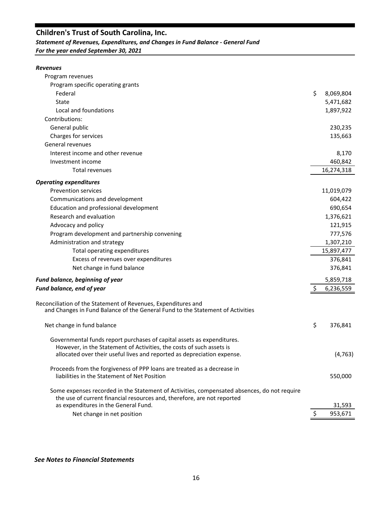# **Children's Trust of South Carolina, Inc.**

*Statement of Revenues, Expenditures, and Changes in Fund Balance - General Fund*

*For the year ended September 30, 2021*

### *Revenues*

| Program revenues                                                                                                                                                       |                         |
|------------------------------------------------------------------------------------------------------------------------------------------------------------------------|-------------------------|
| Program specific operating grants                                                                                                                                      |                         |
| Federal                                                                                                                                                                | \$<br>8,069,804         |
| <b>State</b>                                                                                                                                                           | 5,471,682               |
| Local and foundations                                                                                                                                                  | 1,897,922               |
| Contributions:                                                                                                                                                         |                         |
| General public                                                                                                                                                         | 230,235                 |
| Charges for services                                                                                                                                                   | 135,663                 |
| General revenues                                                                                                                                                       |                         |
| Interest income and other revenue                                                                                                                                      | 8,170                   |
| Investment income                                                                                                                                                      | 460,842                 |
| Total revenues                                                                                                                                                         | 16,274,318              |
| <b>Operating expenditures</b>                                                                                                                                          |                         |
| Prevention services                                                                                                                                                    | 11,019,079              |
| Communications and development                                                                                                                                         | 604,422                 |
| Education and professional development                                                                                                                                 | 690,654                 |
| Research and evaluation                                                                                                                                                | 1,376,621               |
| Advocacy and policy                                                                                                                                                    | 121,915                 |
| Program development and partnership convening                                                                                                                          | 777,576                 |
| Administration and strategy                                                                                                                                            | 1,307,210               |
| Total operating expenditures                                                                                                                                           | 15,897,477              |
| Excess of revenues over expenditures                                                                                                                                   | 376,841                 |
| Net change in fund balance                                                                                                                                             | 376,841                 |
| Fund balance, beginning of year                                                                                                                                        | 5,859,718               |
| <b>Fund balance, end of year</b>                                                                                                                                       | \$<br>6,236,559         |
| Reconciliation of the Statement of Revenues, Expenditures and<br>and Changes in Fund Balance of the General Fund to the Statement of Activities                        |                         |
| Net change in fund balance                                                                                                                                             | \$<br>376,841           |
| Governmental funds report purchases of capital assets as expenditures.                                                                                                 |                         |
| However, in the Statement of Activities, the costs of such assets is                                                                                                   |                         |
| allocated over their useful lives and reported as depreciation expense.                                                                                                | (4, 763)                |
| Proceeds from the forgiveness of PPP loans are treated as a decrease in                                                                                                |                         |
| liabilities in the Statement of Net Position                                                                                                                           | 550,000                 |
| Some expenses recorded in the Statement of Activities, compensated absences, do not require<br>the use of current financial resources and, therefore, are not reported |                         |
| as expenditures in the General Fund.                                                                                                                                   | \$<br>31,593<br>953,671 |
| Net change in net position                                                                                                                                             |                         |

*See Notes to Financial Statements*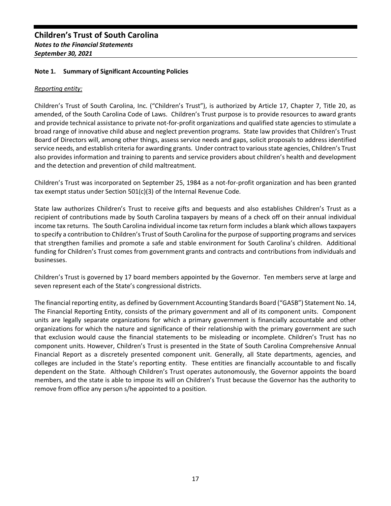# **Children's Trust of South Carolina** *Notes to the Financial Statements September 30, 2021*

## **Note 1. Summary of Significant Accounting Policies**

### *Reporting entity:*

Children's Trust of South Carolina, Inc. ("Children's Trust"), is authorized by Article 17, Chapter 7, Title 20, as amended, of the South Carolina Code of Laws. Children's Trust purpose is to provide resources to award grants and provide technical assistance to private not-for-profit organizations and qualified state agencies to stimulate a broad range of innovative child abuse and neglect prevention programs. State law provides that Children's Trust Board of Directors will, among other things, assess service needs and gaps, solicit proposals to address identified service needs, and establish criteria for awarding grants. Under contract to various state agencies, Children's Trust also provides information and training to parents and service providers about children's health and development and the detection and prevention of child maltreatment.

Children's Trust was incorporated on September 25, 1984 as a not-for-profit organization and has been granted tax exempt status under Section 501(c)(3) of the Internal Revenue Code.

State law authorizes Children's Trust to receive gifts and bequests and also establishes Children's Trust as a recipient of contributions made by South Carolina taxpayers by means of a check off on their annual individual income tax returns. The South Carolina individual income tax return form includes a blank which allows taxpayers to specify a contribution to Children's Trust of South Carolina for the purpose of supporting programs and services that strengthen families and promote a safe and stable environment for South Carolina's children. Additional funding for Children's Trust comes from government grants and contracts and contributions from individuals and businesses.

Children's Trust is governed by 17 board members appointed by the Governor. Ten members serve at large and seven represent each of the State's congressional districts.

The financial reporting entity, as defined by Government Accounting Standards Board ("GASB") Statement No. 14, The Financial Reporting Entity, consists of the primary government and all of its component units. Component units are legally separate organizations for which a primary government is financially accountable and other organizations for which the nature and significance of their relationship with the primary government are such that exclusion would cause the financial statements to be misleading or incomplete. Children's Trust has no component units. However, Children's Trust is presented in the State of South Carolina Comprehensive Annual Financial Report as a discretely presented component unit. Generally, all State departments, agencies, and colleges are included in the State's reporting entity. These entities are financially accountable to and fiscally dependent on the State. Although Children's Trust operates autonomously, the Governor appoints the board members, and the state is able to impose its will on Children's Trust because the Governor has the authority to remove from office any person s/he appointed to a position.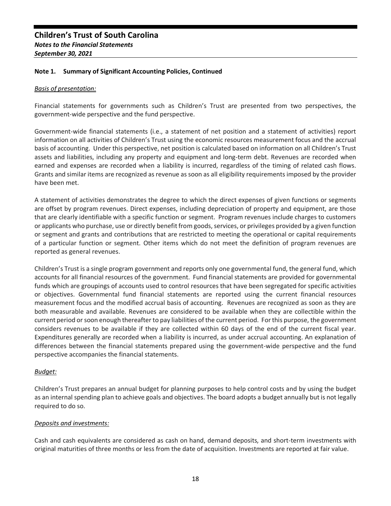## **Note 1. Summary of Significant Accounting Policies, Continued**

#### *Basis of presentation:*

Financial statements for governments such as Children's Trust are presented from two perspectives, the government-wide perspective and the fund perspective.

Government-wide financial statements (i.e., a statement of net position and a statement of activities) report information on all activities of Children's Trust using the economic resources measurement focus and the accrual basis of accounting. Under this perspective, net position is calculated based on information on all Children's Trust assets and liabilities, including any property and equipment and long-term debt. Revenues are recorded when earned and expenses are recorded when a liability is incurred, regardless of the timing of related cash flows. Grants and similar items are recognized as revenue as soon as all eligibility requirements imposed by the provider have been met.

A statement of activities demonstrates the degree to which the direct expenses of given functions or segments are offset by program revenues. Direct expenses, including depreciation of property and equipment, are those that are clearly identifiable with a specific function or segment. Program revenues include charges to customers or applicants who purchase, use or directly benefit from goods, services, or privileges provided by a given function or segment and grants and contributions that are restricted to meeting the operational or capital requirements of a particular function or segment. Other items which do not meet the definition of program revenues are reported as general revenues.

Children's Trust is a single program government and reports only one governmental fund, the general fund, which accounts for all financial resources of the government. Fund financial statements are provided for governmental funds which are groupings of accounts used to control resources that have been segregated for specific activities or objectives. Governmental fund financial statements are reported using the current financial resources measurement focus and the modified accrual basis of accounting. Revenues are recognized as soon as they are both measurable and available. Revenues are considered to be available when they are collectible within the current period or soon enough thereafter to pay liabilities of the current period. For this purpose, the government considers revenues to be available if they are collected within 60 days of the end of the current fiscal year. Expenditures generally are recorded when a liability is incurred, as under accrual accounting. An explanation of differences between the financial statements prepared using the government-wide perspective and the fund perspective accompanies the financial statements.

## *Budget:*

Children's Trust prepares an annual budget for planning purposes to help control costs and by using the budget as an internal spending plan to achieve goals and objectives. The board adopts a budget annually but is not legally required to do so.

#### *Deposits and investments:*

Cash and cash equivalents are considered as cash on hand, demand deposits, and short-term investments with original maturities of three months or less from the date of acquisition. Investments are reported at fair value.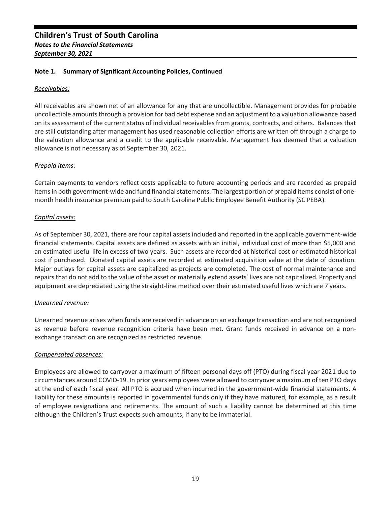# **Note 1. Summary of Significant Accounting Policies, Continued**

## *Receivables:*

All receivables are shown net of an allowance for any that are uncollectible. Management provides for probable uncollectible amounts through a provision for bad debt expense and an adjustment to a valuation allowance based on its assessment of the current status of individual receivables from grants, contracts, and others. Balances that are still outstanding after management has used reasonable collection efforts are written off through a charge to the valuation allowance and a credit to the applicable receivable. Management has deemed that a valuation allowance is not necessary as of September 30, 2021.

## *Prepaid items:*

Certain payments to vendors reflect costs applicable to future accounting periods and are recorded as prepaid items in both government-wide and fund financial statements. The largest portion of prepaid items consist of onemonth health insurance premium paid to South Carolina Public Employee Benefit Authority (SC PEBA).

### *Capital assets:*

As of September 30, 2021, there are four capital assets included and reported in the applicable government-wide financial statements. Capital assets are defined as assets with an initial, individual cost of more than \$5,000 and an estimated useful life in excess of two years. Such assets are recorded at historical cost or estimated historical cost if purchased. Donated capital assets are recorded at estimated acquisition value at the date of donation. Major outlays for capital assets are capitalized as projects are completed. The cost of normal maintenance and repairs that do not add to the value of the asset or materially extend assets' lives are not capitalized. Property and equipment are depreciated using the straight-line method over their estimated useful lives which are 7 years.

## *Unearned revenue:*

Unearned revenue arises when funds are received in advance on an exchange transaction and are not recognized as revenue before revenue recognition criteria have been met. Grant funds received in advance on a nonexchange transaction are recognized as restricted revenue.

## *Compensated absences:*

Employees are allowed to carryover a maximum of fifteen personal days off (PTO) during fiscal year 2021 due to circumstances around COVID-19. In prior years employees were allowed to carryover a maximum of ten PTO days at the end of each fiscal year. All PTO is accrued when incurred in the government-wide financial statements. A liability for these amounts is reported in governmental funds only if they have matured, for example, as a result of employee resignations and retirements. The amount of such a liability cannot be determined at this time although the Children's Trust expects such amounts, if any to be immaterial.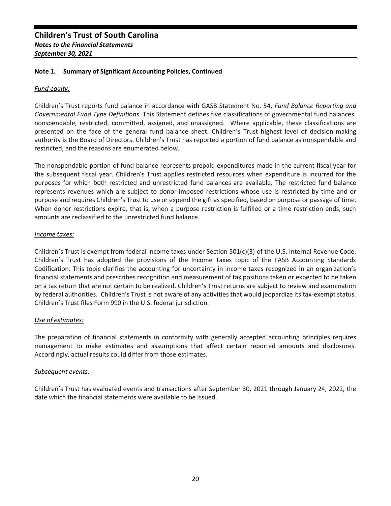## **Note 1. Summary of Significant Accounting Policies, Continued**

## *Fund equity:*

Children's Trust reports fund balance in accordance with GASB Statement No. 54, *Fund Balance Reporting and Governmental Fund Type Definitions*. This Statement defines five classifications of governmental fund balances: nonspendable, restricted, committed, assigned, and unassigned. Where applicable, these classifications are presented on the face of the general fund balance sheet. Children's Trust highest level of decision-making authority is the Board of Directors. Children's Trust has reported a portion of fund balance as nonspendable and restricted, and the reasons are enumerated below.

The nonspendable portion of fund balance represents prepaid expenditures made in the current fiscal year for the subsequent fiscal year. Children's Trust applies restricted resources when expenditure is incurred for the purposes for which both restricted and unrestricted fund balances are available. The restricted fund balance represents revenues which are subject to donor-imposed restrictions whose use is restricted by time and or purpose and requires Children's Trust to use or expend the gift as specified, based on purpose or passage of time. When donor restrictions expire, that is, when a purpose restriction is fulfilled or a time restriction ends, such amounts are reclassified to the unrestricted fund balance.

### *Income taxes:*

Children's Trust is exempt from federal income taxes under Section  $501(c)(3)$  of the U.S. Internal Revenue Code. Children's Trust has adopted the provisions of the Income Taxes topic of the FASB Accounting Standards Codification. This topic clarifies the accounting for uncertainty in income taxes recognized in an organization's financial statements and prescribes recognition and measurement of tax positions taken or expected to be taken on a tax return that are not certain to be realized. Children's Trust returns are subject to review and examination by federal authorities. Children's Trust is not aware of any activities that would jeopardize its tax-exempt status. Children's Trust files Form 990 in the U.S. federal jurisdiction.

## *Use of estimates:*

The preparation of financial statements in conformity with generally accepted accounting principles requires management to make estimates and assumptions that affect certain reported amounts and disclosures. Accordingly, actual results could differ from those estimates.

## *Subsequent events:*

Children's Trust has evaluated events and transactions after September 30, 2021 through January 24, 2022, the date which the financial statements were available to be issued.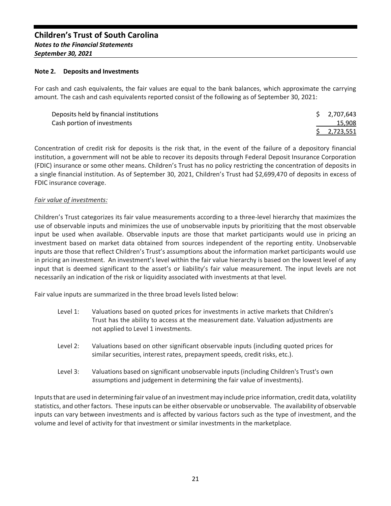# **Children's Trust of South Carolina** *Notes to the Financial Statements September 30, 2021*

#### **Note 2. Deposits and Investments**

For cash and cash equivalents, the fair values are equal to the bank balances, which approximate the carrying amount. The cash and cash equivalents reported consist of the following as of September 30, 2021:

| Deposits held by financial institutions | \$2,707,643               |
|-----------------------------------------|---------------------------|
| Cash portion of investments             | 15,908                    |
|                                         | $\frac{1}{2}$ , 2,723,551 |

Concentration of credit risk for deposits is the risk that, in the event of the failure of a depository financial institution, a government will not be able to recover its deposits through Federal Deposit Insurance Corporation (FDIC) insurance or some other means. Children's Trust has no policy restricting the concentration of deposits in a single financial institution. As of September 30, 2021, Children's Trust had \$2,699,470 of deposits in excess of FDIC insurance coverage.

### *Fair value of investments:*

Children's Trust categorizes its fair value measurements according to a three-level hierarchy that maximizes the use of observable inputs and minimizes the use of unobservable inputs by prioritizing that the most observable input be used when available. Observable inputs are those that market participants would use in pricing an investment based on market data obtained from sources independent of the reporting entity. Unobservable inputs are those that reflect Children's Trust's assumptions about the information market participants would use in pricing an investment. An investment's level within the fair value hierarchy is based on the lowest level of any input that is deemed significant to the asset's or liability's fair value measurement. The input levels are not necessarily an indication of the risk or liquidity associated with investments at that level.

Fair value inputs are summarized in the three broad levels listed below:

- Level 1: Valuations based on quoted prices for investments in active markets that Children's Trust has the ability to access at the measurement date. Valuation adjustments are not applied to Level 1 investments.
- Level 2: Valuations based on other significant observable inputs (including quoted prices for similar securities, interest rates, prepayment speeds, credit risks, etc.).
- Level 3: Valuations based on significant unobservable inputs (including Children's Trust's own assumptions and judgement in determining the fair value of investments).

Inputs that are used in determining fair value of an investment may include price information, credit data, volatility statistics, and other factors. These inputs can be either observable or unobservable. The availability of observable inputs can vary between investments and is affected by various factors such as the type of investment, and the volume and level of activity for that investment or similar investments in the marketplace.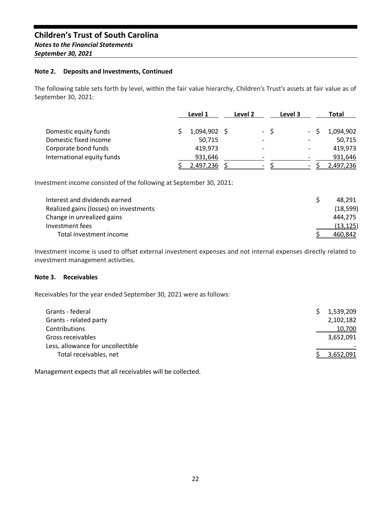# **Children's Trust of South Carolina** *Notes to the Financial Statements September 30, 2021*

#### **Note 2. Deposits and Investments, Continued**

The following table sets forth by level, within the fair value hierarchy, Children's Trust's assets at fair value as of September 30, 2021:

|                            | Level 1        | Level 2                  | Level 3 |                          |     | Total     |
|----------------------------|----------------|--------------------------|---------|--------------------------|-----|-----------|
| Domestic equity funds      | $1,094,902$ \$ | $-5$                     |         |                          | - S | 1,094,902 |
| Domestic fixed income      | 50,715         |                          |         |                          |     | 50,715    |
| Corporate bond funds       | 419,973        | $\overline{\phantom{0}}$ |         |                          |     | 419,973   |
| International equity funds | 931,646        | $\overline{\phantom{a}}$ |         |                          |     | 931,646   |
|                            | 2,497,236      | $\overline{\phantom{0}}$ |         | $\overline{\phantom{0}}$ |     | 2,497,236 |

Investment income consisted of the following at September 30, 2021:

| Interest and dividends earned          | 48.291    |
|----------------------------------------|-----------|
| Realized gains (losses) on investments | (18, 599) |
| Change in unrealized gains             | 444.275   |
| Investment fees                        | (13.125)  |
| Total investment income                | 460.842   |

Investment income is used to offset external investment expenses and not internal expenses directly related to investment management activities.

### **Note 3. Receivables**

Receivables for the year ended September 30, 2021 were as follows:

| Grants - federal                  | 1,539,209 |
|-----------------------------------|-----------|
| Grants - related party            | 2,102,182 |
| Contributions                     | 10,700    |
| Gross receivables                 | 3,652,091 |
| Less, allowance for uncollectible |           |
| Total receivables, net            | 3,652,091 |

Management expects that all receivables will be collected.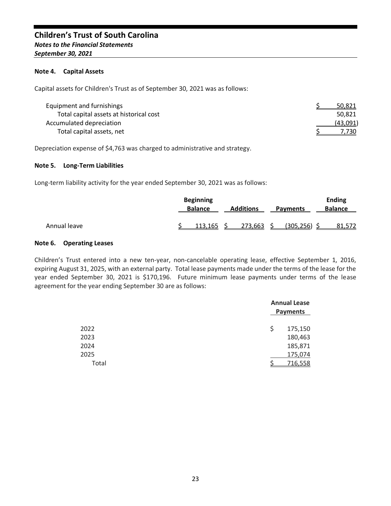#### **Note 4. Capital Assets**

Capital assets for Children's Trust as of September 30, 2021 was as follows:

| Equipment and furnishings               | 50,821   |
|-----------------------------------------|----------|
| Total capital assets at historical cost | 50.821   |
| Accumulated depreciation                | (43,091) |
| Total capital assets, net               | 7.730    |

Depreciation expense of \$4,763 was charged to administrative and strategy.

### **Note 5. Long-Term Liabilities**

Long-term liability activity for the year ended September 30, 2021 was as follows:

|              | <b>Beginning</b><br><b>Balance</b> | <b>Additions</b> | <b>Payments</b> | <b>Ending</b><br><b>Balance</b> |
|--------------|------------------------------------|------------------|-----------------|---------------------------------|
| Annual leave | $113,165$ \$                       | 273,663 \$       | $(305, 256)$ \$ | 81,572                          |

### **Note 6. Operating Leases**

Children's Trust entered into a new ten-year, non-cancelable operating lease, effective September 1, 2016, expiring August 31, 2025, with an external party. Total lease payments made under the terms of the lease for the year ended September 30, 2021 is \$170,196. Future minimum lease payments under terms of the lease agreement for the year ending September 30 are as follows:

|       | <b>Payments</b> | <b>Annual Lease</b> |  |  |
|-------|-----------------|---------------------|--|--|
| 2022  | \$<br>175,150   |                     |  |  |
| 2023  | 180,463         |                     |  |  |
| 2024  | 185,871         |                     |  |  |
| 2025  | 175,074         |                     |  |  |
| Total | 716,558         |                     |  |  |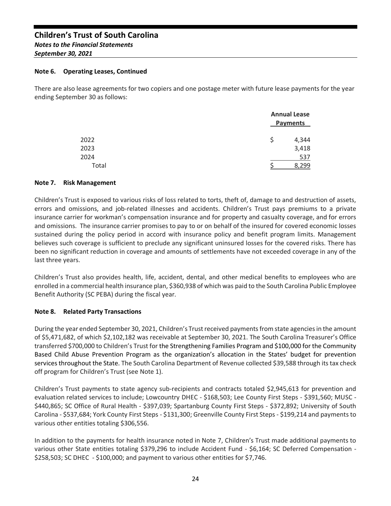### **Note 6. Operating Leases, Continued**

There are also lease agreements for two copiers and one postage meter with future lease payments for the year ending September 30 as follows:

|       | <b>Annual Lease</b><br><b>Payments</b> |
|-------|----------------------------------------|
| 2022  | 4,344<br>\$                            |
| 2023  | 3,418                                  |
| 2024  | 537                                    |
| Total | 8.299                                  |

### **Note 7. Risk Management**

Children's Trust is exposed to various risks of loss related to torts, theft of, damage to and destruction of assets, errors and omissions, and job-related illnesses and accidents. Children's Trust pays premiums to a private insurance carrier for workman's compensation insurance and for property and casualty coverage, and for errors and omissions. The insurance carrier promises to pay to or on behalf of the insured for covered economic losses sustained during the policy period in accord with insurance policy and benefit program limits. Management believes such coverage is sufficient to preclude any significant uninsured losses for the covered risks. There has been no significant reduction in coverage and amounts of settlements have not exceeded coverage in any of the last three years.

Children's Trust also provides health, life, accident, dental, and other medical benefits to employees who are enrolled in a commercial health insurance plan, \$360,938 of which was paid to the South Carolina Public Employee Benefit Authority (SC PEBA) during the fiscal year.

## **Note 8. Related Party Transactions**

During the year ended September 30, 2021, Children's Trust received payments from state agencies in the amount of \$5,471,682, of which \$2,102,182 was receivable at September 30, 2021. The South Carolina Treasurer's Office transferred \$700,000 to Children's Trust for the Strengthening Families Program and \$100,000 for the Community Based Child Abuse Prevention Program as the organization's allocation in the States' budget for prevention services throughout the State. The South Carolina Department of Revenue collected \$39,588 through its tax check off program for Children's Trust (see Note 1).

Children's Trust payments to state agency sub-recipients and contracts totaled \$2,945,613 for prevention and evaluation related services to include; Lowcountry DHEC - \$168,503; Lee County First Steps - \$391,560; MUSC -\$440,865; SC Office of Rural Health - \$397,039; Spartanburg County First Steps - \$372,892; University of South Carolina - \$537,684; York County First Steps - \$131,300; Greenville County First Steps - \$199,214 and payments to various other entities totaling \$306,556.

In addition to the payments for health insurance noted in Note 7, Children's Trust made additional payments to various other State entities totaling \$379,296 to include Accident Fund - \$6,164; SC Deferred Compensation - \$258,503; SC DHEC - \$100,000; and payment to various other entities for \$7,746.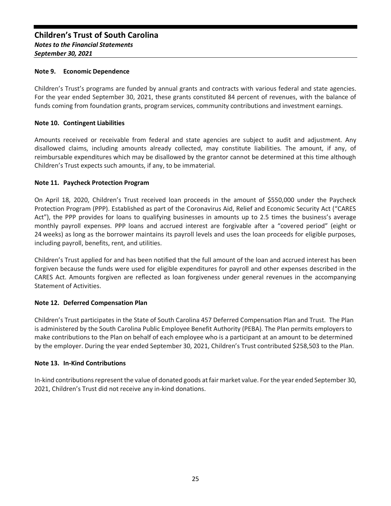### **Note 9. Economic Dependence**

Children's Trust's programs are funded by annual grants and contracts with various federal and state agencies. For the year ended September 30, 2021, these grants constituted 84 percent of revenues, with the balance of funds coming from foundation grants, program services, community contributions and investment earnings.

## **Note 10. Contingent Liabilities**

Amounts received or receivable from federal and state agencies are subject to audit and adjustment. Any disallowed claims, including amounts already collected, may constitute liabilities. The amount, if any, of reimbursable expenditures which may be disallowed by the grantor cannot be determined at this time although Children's Trust expects such amounts, if any, to be immaterial.

### **Note 11. Paycheck Protection Program**

On April 18, 2020, Children's Trust received loan proceeds in the amount of \$550,000 under the Paycheck Protection Program (PPP). Established as part of the Coronavirus Aid, Relief and Economic Security Act ("CARES Act"), the PPP provides for loans to qualifying businesses in amounts up to 2.5 times the business's average monthly payroll expenses. PPP loans and accrued interest are forgivable after a "covered period" (eight or 24 weeks) as long as the borrower maintains its payroll levels and uses the loan proceeds for eligible purposes, including payroll, benefits, rent, and utilities.

Children's Trust applied for and has been notified that the full amount of the loan and accrued interest has been forgiven because the funds were used for eligible expenditures for payroll and other expenses described in the CARES Act. Amounts forgiven are reflected as loan forgiveness under general revenues in the accompanying Statement of Activities.

## **Note 12. Deferred Compensation Plan**

Children's Trust participates in the State of South Carolina 457 Deferred Compensation Plan and Trust. The Plan is administered by the South Carolina Public Employee Benefit Authority (PEBA). The Plan permits employers to make contributions to the Plan on behalf of each employee who is a participant at an amount to be determined by the employer. During the year ended September 30, 2021, Children's Trust contributed \$258,503 to the Plan.

#### **Note 13. In-Kind Contributions**

In-kind contributions represent the value of donated goods at fair market value. For the year ended September 30, 2021, Children's Trust did not receive any in-kind donations.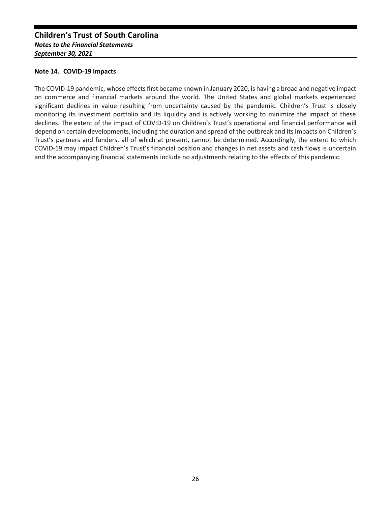# **Children's Trust of South Carolina** *Notes to the Financial Statements September 30, 2021*

## **Note 14. COVID-19 Impacts**

The COVID-19 pandemic, whose effects first became known in January 2020, is having a broad and negative impact on commerce and financial markets around the world. The United States and global markets experienced significant declines in value resulting from uncertainty caused by the pandemic. Children's Trust is closely monitoring its investment portfolio and its liquidity and is actively working to minimize the impact of these declines. The extent of the impact of COVID-19 on Children's Trust's operational and financial performance will depend on certain developments, including the duration and spread of the outbreak and its impacts on Children's Trust's partners and funders, all of which at present, cannot be determined. Accordingly, the extent to which COVID-19 may impact Children's Trust's financial position and changes in net assets and cash flows is uncertain and the accompanying financial statements include no adjustments relating to the effects of this pandemic.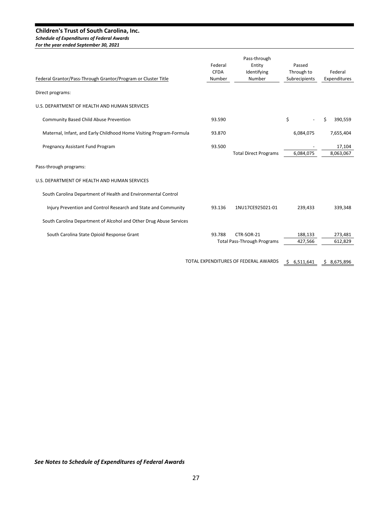# **Children's Trust of South Carolina, Inc.**

*Schedule of Expenditures of Federal Awards*

*For the year ended September 30, 2021*

| Federal Grantor/Pass-Through Grantor/Program or Cluster Title       | Federal<br><b>CFDA</b><br>Number | Pass-through<br>Entity<br>Identifying<br>Number  | Passed<br>Through to<br>Subrecipients | Federal<br>Expenditures |
|---------------------------------------------------------------------|----------------------------------|--------------------------------------------------|---------------------------------------|-------------------------|
| Direct programs:                                                    |                                  |                                                  |                                       |                         |
| U.S. DEPARTMENT OF HEALTH AND HUMAN SERVICES                        |                                  |                                                  |                                       |                         |
| <b>Community Based Child Abuse Prevention</b>                       | 93.590                           |                                                  | \$                                    | 390,559<br>\$           |
| Maternal, Infant, and Early Childhood Home Visiting Program-Formula | 93.870                           |                                                  | 6,084,075                             | 7,655,404               |
| Pregnancy Assistant Fund Program                                    | 93.500                           | <b>Total Direct Programs</b>                     | 6,084,075                             | 17,104<br>8,063,067     |
| Pass-through programs:                                              |                                  |                                                  |                                       |                         |
| U.S. DEPARTMENT OF HEALTH AND HUMAN SERVICES                        |                                  |                                                  |                                       |                         |
| South Carolina Department of Health and Environmental Control       |                                  |                                                  |                                       |                         |
| Injury Prevention and Control Research and State and Community      | 93.136                           | 1NU17CE925021-01                                 | 239,433                               | 339,348                 |
| South Carolina Department of Alcohol and Other Drug Abuse Services  |                                  |                                                  |                                       |                         |
| South Carolina State Opioid Response Grant                          | 93.788                           | CTR-SOR-21<br><b>Total Pass-Through Programs</b> | 188,133<br>427,566                    | 273,481<br>612,829      |
|                                                                     |                                  | TOTAL EXPENDITURES OF FEDERAL AWARDS             | 6,511,641<br>S.                       | \$8,675,896             |

*See Notes to Schedule of Expenditures of Federal Awards*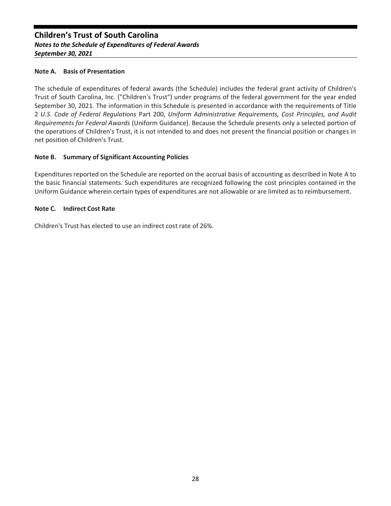# **Children's Trust of South Carolina** *Notes to the Schedule of Expenditures of Federal Awards September 30, 2021*

# **Note A. Basis of Presentation**

The schedule of expenditures of federal awards (the Schedule) includes the federal grant activity of Children's Trust of South Carolina, Inc. ("Children's Trust") under programs of the federal government for the year ended September 30, 2021. The information in this Schedule is presented in accordance with the requirements of Title 2 *U.S. Code of Federal Regulations* Part 200, *Uniform Administrative Requirements, Cost Principles, and Audit Requirements for Federal Awards* (Uniform Guidance). Because the Schedule presents only a selected portion of the operations of Children's Trust, it is not intended to and does not present the financial position or changes in net position of Children's Trust.

# **Note B. Summary of Significant Accounting Policies**

Expenditures reported on the Schedule are reported on the accrual basis of accounting as described in Note A to the basic financial statements. Such expenditures are recognized following the cost principles contained in the Uniform Guidance wherein certain types of expenditures are not allowable or are limited as to reimbursement.

## **Note C. Indirect Cost Rate**

Children's Trust has elected to use an indirect cost rate of 26%.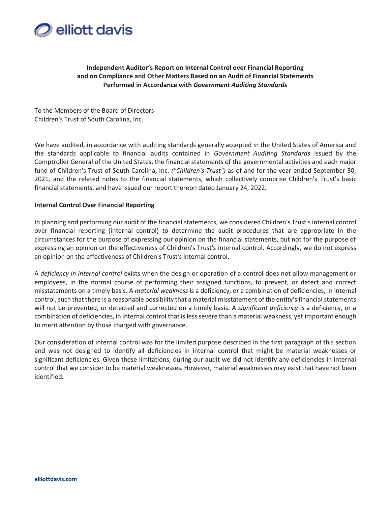

# **Independent Auditor's Report on Internal Control over Financial Reporting and on Compliance and Other Matters Based on an Audit of Financial Statements Performed in Accordance with** *Government Auditing Standards*

To the Members of the Board of Directors Children's Trust of South Carolina, Inc.

We have audited, in accordance with auditing standards generally accepted in the United States of America and the standards applicable to financial audits contained in *Government Auditing Standards* issued by the Comptroller General of the United States, the financial statements of the governmental activities and each major fund of Children's Trust of South Carolina, Inc. *("Children's Trust")* as of and for the year ended September 30, 2021, and the related notes to the financial statements, which collectively comprise Children's Trust's basic financial statements, and have issued our report thereon dated January 24, 2022.

### **Internal Control Over Financial Reporting**

In planning and performing our audit of the financial statements, we considered Children's Trust's internal control over financial reporting (internal control) to determine the audit procedures that are appropriate in the circumstances for the purpose of expressing our opinion on the financial statements, but not for the purpose of expressing an opinion on the effectiveness of Children's Trust's internal control. Accordingly, we do not express an opinion on the effectiveness of Children's Trust's internal control.

A *deficiency in internal control* exists when the design or operation of a control does not allow management or employees, in the normal course of performing their assigned functions, to prevent, or detect and correct misstatements on a timely basis. A *material weakness* is a deficiency, or a combination of deficiencies, in internal control, such that there is a reasonable possibility that a material misstatement of the entity's financial statements will not be prevented, or detected and corrected on a timely basis. A *significant deficiency* is a deficiency, or a combination of deficiencies, in internal control that is less severe than a material weakness, yet important enough to merit attention by those charged with governance.

Our consideration of internal control was for the limited purpose described in the first paragraph of this section and was not designed to identify all deficiencies in internal control that might be material weaknesses or significant deficiencies. Given these limitations, during our audit we did not identify any deficiencies in internal control that we consider to be material weaknesses. However, material weaknesses may exist that have not been identified.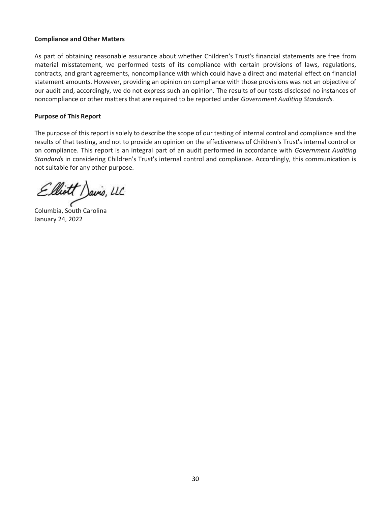## **Compliance and Other Matters**

As part of obtaining reasonable assurance about whether Children's Trust's financial statements are free from material misstatement, we performed tests of its compliance with certain provisions of laws, regulations, contracts, and grant agreements, noncompliance with which could have a direct and material effect on financial statement amounts. However, providing an opinion on compliance with those provisions was not an objective of our audit and, accordingly, we do not express such an opinion. The results of our tests disclosed no instances of noncompliance or other matters that are required to be reported under *Government Auditing Standards.*

### **Purpose of This Report**

The purpose of this report is solely to describe the scope of our testing of internal control and compliance and the results of that testing, and not to provide an opinion on the effectiveness of Children's Trust's internal control or on compliance. This report is an integral part of an audit performed in accordance with *Government Auditing Standards* in considering Children's Trust's internal control and compliance. Accordingly, this communication is not suitable for any other purpose.

Elliott Davis, LLC

Columbia, South Carolina January 24, 2022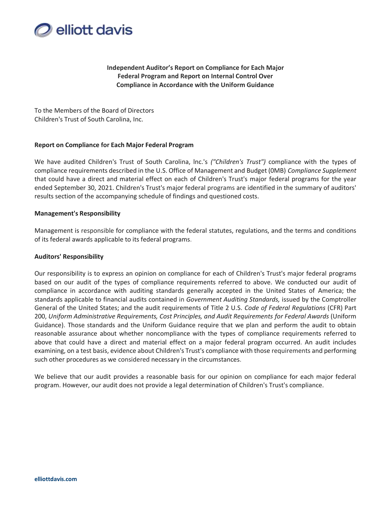

# **Independent Auditor's Report on Compliance for Each Major Federal Program and Report on Internal Control Over Compliance in Accordance with the Uniform Guidance**

To the Members of the Board of Directors Children's Trust of South Carolina, Inc.

### **Report on Compliance for Each Major Federal Program**

We have audited Children's Trust of South Carolina, lnc.'s *("Children's Trust")* compliance with the types of compliance requirements described in the U.S. Office of Management and Budget (0MB) *Compliance Supplement*  that could have a direct and material effect on each of Children's Trust's major federal programs for the year ended September 30, 2021. Children's Trust's major federal programs are identified in the summary of auditors' results section of the accompanying schedule of findings and questioned costs.

#### **Management's Responsibility**

Management is responsible for compliance with the federal statutes, regulations, and the terms and conditions of its federal awards applicable to its federal programs.

#### **Auditors' Responsibility**

Our responsibility is to express an opinion on compliance for each of Children's Trust's major federal programs based on our audit of the types of compliance requirements referred to above. We conducted our audit of compliance in accordance with auditing standards generally accepted in the United States of America; the standards applicable to financial audits contained in *Government Auditing Standards,* issued by the Comptroller General of the United States; and the audit requirements of Title 2 U.S. *Code of Federal Regulations* (CFR) Part 200, *Uniform Administrative Requirements, Cost Principles, and Audit Requirements for Federal Awards* (Uniform Guidance). Those standards and the Uniform Guidance require that we plan and perform the audit to obtain reasonable assurance about whether noncompliance with the types of compliance requirements referred to above that could have a direct and material effect on a major federal program occurred. An audit includes examining, on a test basis, evidence about Children's Trust's compliance with those requirements and performing such other procedures as we considered necessary in the circumstances.

We believe that our audit provides a reasonable basis for our opinion on compliance for each major federal program. However, our audit does not provide a legal determination of Children's Trust's compliance.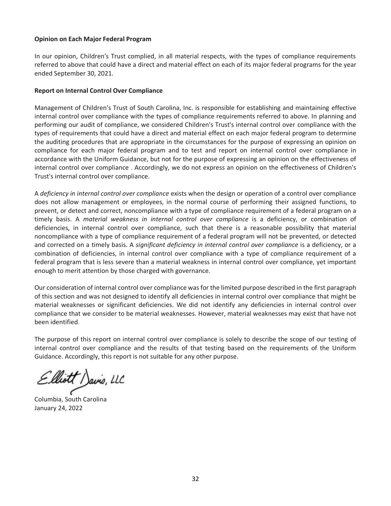# **Opinion on Each Major Federal Program**

In our opinion, Children's Trust complied, in all material respects, with the types of compliance requirements referred to above that could have a direct and material effect on each of its major federal programs for the year ended September 30, 2021.

## **Report on Internal Control Over Compliance**

Management of Children's Trust of South Carolina, Inc. is responsible for establishing and maintaining effective internal control over compliance with the types of compliance requirements referred to above. In planning and performing our audit of compliance, we considered Children's Trust's internal control over compliance with the types of requirements that could have a direct and material effect on each major federal program to determine the auditing procedures that are appropriate in the circumstances for the purpose of expressing an opinion on compliance for each major federal program and to test and report on internal control over compliance in accordance with the Uniform Guidance, but not for the purpose of expressing an opinion on the effectiveness of internal control over compliance . Accordingly, we do not express an opinion on the effectiveness of Children's Trust's internal control over compliance.

A *deficiency in internal control over compliance* exists when the design or operation of a control over compliance does not allow management or employees, in the normal course of performing their assigned functions, to prevent, or detect and correct, noncompliance with a type of compliance requirement of a federal program on a timely basis. A *material weakness in internal control over compliance* is a deficiency, or combination of deficiencies, in internal control over compliance, such that there is a reasonable possibility that material noncompliance with a type of compliance requirement of a federal program will not be prevented, or detected and corrected on a timely basis. A *significant deficiency in internal control over compliance* is a deficiency, or a combination of deficiencies, in internal control over compliance with a type of compliance requirement of a federal program that is less severe than a material weakness in internal control over compliance, yet important enough to merit attention by those charged with governance.

Our consideration of internal control over compliance was for the limited purpose described in the first paragraph of this section and was not designed to identify all deficiencies in internal control over compliance that might be material weaknesses or significant deficiencies. We did not identify any deficiencies in internal control over compliance that we consider to be material weaknesses. However, material weaknesses may exist that have not been identified.

The purpose of this report on internal control over compliance is solely to describe the scope of our testing of internal control over compliance and the results of that testing based on the requirements of the Uniform Guidance. Accordingly, this report is not suitable for any other purpose.

Elliott Davis, LLC

Columbia, South Carolina January 24, 2022